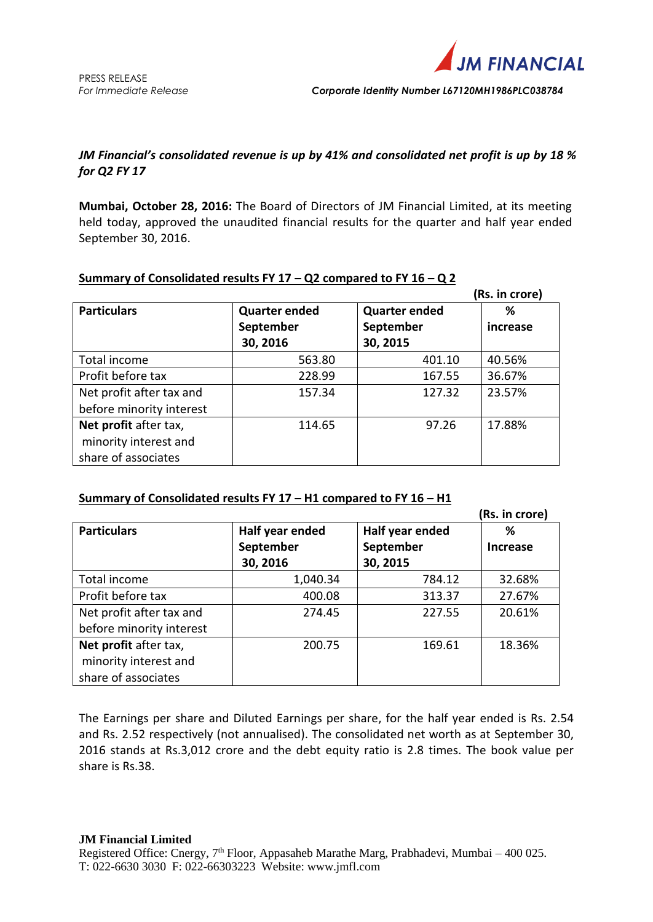

# *JM Financial's consolidated revenue is up by 41% and consolidated net profit is up by 18 % for Q2 FY 17*

**Mumbai, October 28, 2016:** The Board of Directors of JM Financial Limited, at its meeting held today, approved the unaudited financial results for the quarter and half year ended September 30, 2016.

|                          |                      |                      | (Rs. in crore) |
|--------------------------|----------------------|----------------------|----------------|
| <b>Particulars</b>       | <b>Quarter ended</b> | <b>Quarter ended</b> | %              |
|                          | September            | September            | increase       |
|                          | 30, 2016             | 30, 2015             |                |
| Total income             | 563.80               | 401.10               | 40.56%         |
| Profit before tax        | 228.99               | 167.55               | 36.67%         |
| Net profit after tax and | 157.34               | 127.32               | 23.57%         |
| before minority interest |                      |                      |                |
| Net profit after tax,    | 114.65               | 97.26                | 17.88%         |
| minority interest and    |                      |                      |                |
| share of associates      |                      |                      |                |

# **Summary of Consolidated results FY 17 – Q2 compared to FY 16 – Q 2**

# **Summary of Consolidated results FY 17 – H1 compared to FY 16 – H1**

|                          |                 |                 | (Rs. in crore) |
|--------------------------|-----------------|-----------------|----------------|
| <b>Particulars</b>       | Half year ended | Half year ended | %              |
|                          | September       | September       | Increase       |
|                          | 30, 2016        | 30, 2015        |                |
| Total income             | 1,040.34        | 784.12          | 32.68%         |
| Profit before tax        | 400.08          | 313.37          | 27.67%         |
| Net profit after tax and | 274.45          | 227.55          | 20.61%         |
| before minority interest |                 |                 |                |
| Net profit after tax,    | 200.75          | 169.61          | 18.36%         |
| minority interest and    |                 |                 |                |
| share of associates      |                 |                 |                |

The Earnings per share and Diluted Earnings per share, for the half year ended is Rs. 2.54 and Rs. 2.52 respectively (not annualised). The consolidated net worth as at September 30, 2016 stands at Rs.3,012 crore and the debt equity ratio is 2.8 times. The book value per share is Rs.38.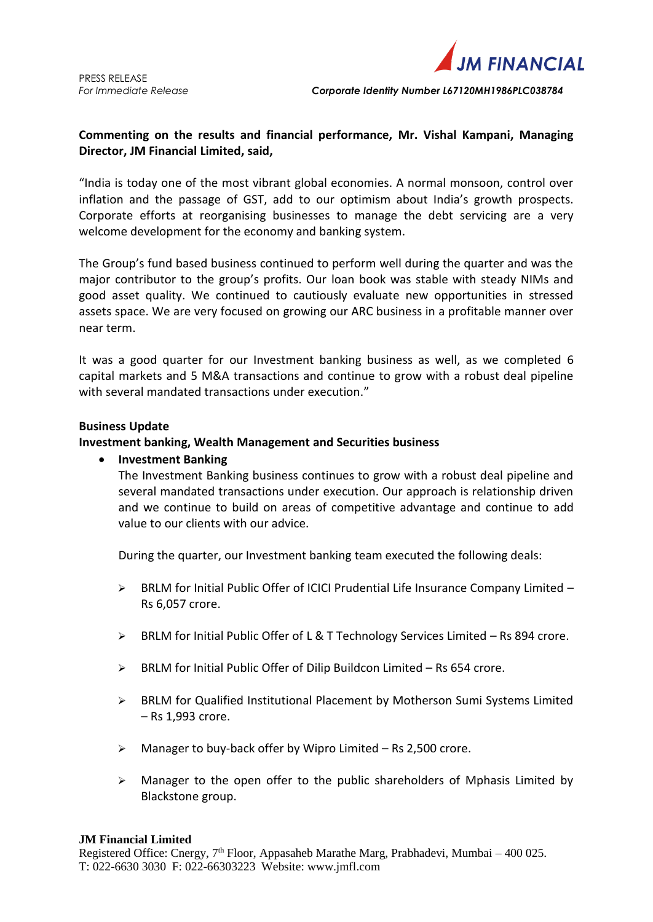

# **Commenting on the results and financial performance, Mr. Vishal Kampani, Managing Director, JM Financial Limited, said,**

"India is today one of the most vibrant global economies. A normal monsoon, control over inflation and the passage of GST, add to our optimism about India's growth prospects. Corporate efforts at reorganising businesses to manage the debt servicing are a very welcome development for the economy and banking system.

The Group's fund based business continued to perform well during the quarter and was the major contributor to the group's profits. Our loan book was stable with steady NIMs and good asset quality. We continued to cautiously evaluate new opportunities in stressed assets space. We are very focused on growing our ARC business in a profitable manner over near term.

It was a good quarter for our Investment banking business as well, as we completed 6 capital markets and 5 M&A transactions and continue to grow with a robust deal pipeline with several mandated transactions under execution."

## **Business Update**

# **Investment banking, Wealth Management and Securities business**

#### **Investment Banking**

The Investment Banking business continues to grow with a robust deal pipeline and several mandated transactions under execution. Our approach is relationship driven and we continue to build on areas of competitive advantage and continue to add value to our clients with our advice.

During the quarter, our Investment banking team executed the following deals:

- ▶ BRLM for Initial Public Offer of ICICI Prudential Life Insurance Company Limited -Rs 6,057 crore.
- $\triangleright$  BRLM for Initial Public Offer of L & T Technology Services Limited Rs 894 crore.
- BRLM for Initial Public Offer of Dilip Buildcon Limited Rs 654 crore.
- ▶ BRLM for Qualified Institutional Placement by Motherson Sumi Systems Limited – Rs 1,993 crore.
- $\triangleright$  Manager to buy-back offer by Wipro Limited Rs 2,500 crore.
- $\triangleright$  Manager to the open offer to the public shareholders of Mphasis Limited by Blackstone group.

#### **JM Financial Limited**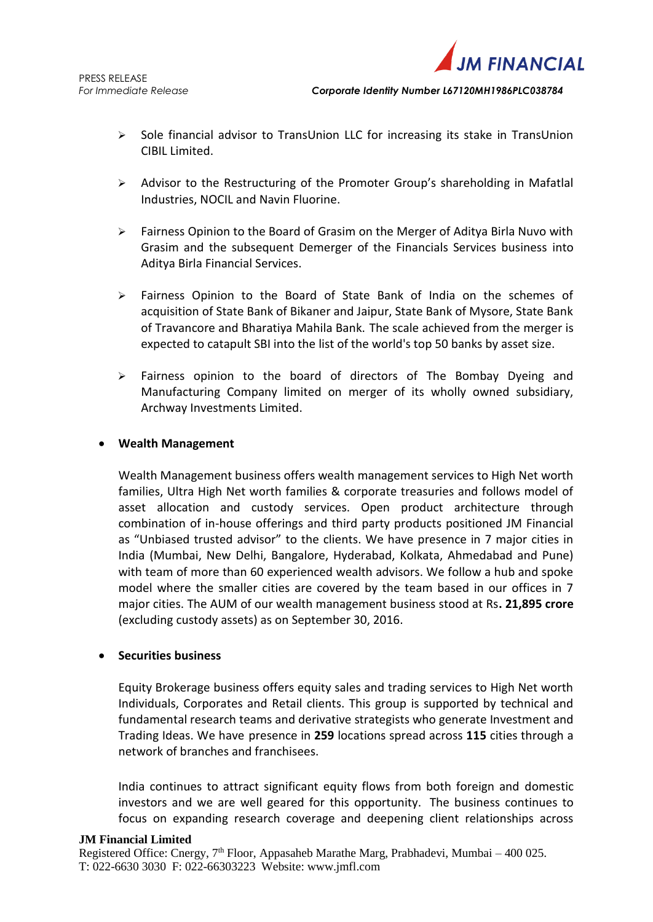

- $\triangleright$  Sole financial advisor to TransUnion LLC for increasing its stake in TransUnion CIBIL Limited.
- $\triangleright$  Advisor to the Restructuring of the Promoter Group's shareholding in Mafatlal Industries, NOCIL and Navin Fluorine.
- $\triangleright$  Fairness Opinion to the Board of Grasim on the Merger of Aditya Birla Nuvo with Grasim and the subsequent Demerger of the Financials Services business into Aditya Birla Financial Services.
- $\triangleright$  Fairness Opinion to the Board of State Bank of India on the schemes of acquisition of State Bank of Bikaner and Jaipur, State Bank of Mysore, State Bank of Travancore and Bharatiya Mahila Bank. The scale achieved from the merger is expected to catapult SBI into the list of the world's top 50 banks by asset size.
- $\triangleright$  Fairness opinion to the board of directors of The Bombay Dyeing and Manufacturing Company limited on merger of its wholly owned subsidiary, Archway Investments Limited.

# **Wealth Management**

Wealth Management business offers wealth management services to High Net worth families, Ultra High Net worth families & corporate treasuries and follows model of asset allocation and custody services. Open product architecture through combination of in-house offerings and third party products positioned JM Financial as "Unbiased trusted advisor" to the clients. We have presence in 7 major cities in India (Mumbai, New Delhi, Bangalore, Hyderabad, Kolkata, Ahmedabad and Pune) with team of more than 60 experienced wealth advisors. We follow a hub and spoke model where the smaller cities are covered by the team based in our offices in 7 major cities. The AUM of our wealth management business stood at Rs**. 21,895 crore** (excluding custody assets) as on September 30, 2016.

# **Securities business**

Equity Brokerage business offers equity sales and trading services to High Net worth Individuals, Corporates and Retail clients. This group is supported by technical and fundamental research teams and derivative strategists who generate Investment and Trading Ideas. We have presence in **259** locations spread across **115** cities through a network of branches and franchisees.

India continues to attract significant equity flows from both foreign and domestic investors and we are well geared for this opportunity. The business continues to focus on expanding research coverage and deepening client relationships across

# **JM Financial Limited**

Registered Office: Cnergy, 7<sup>th</sup> Floor, Appasaheb Marathe Marg, Prabhadevi, Mumbai – 400 025. T: 022-6630 3030 F: 022-66303223 Website: www.jmfl.com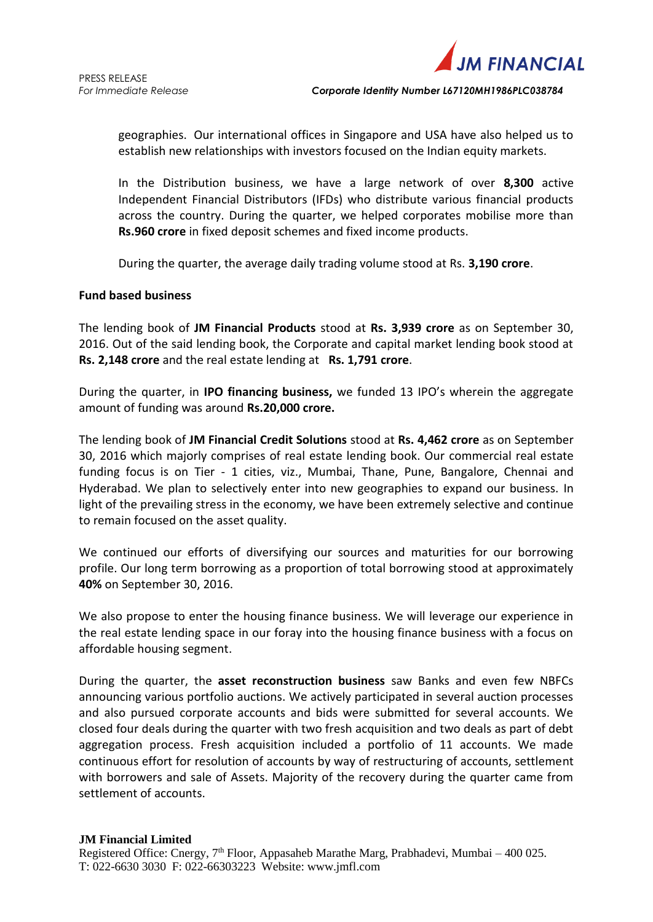

*For Immediate Release Corporate Identity Number L67120MH1986PLC038784*

geographies. Our international offices in Singapore and USA have also helped us to establish new relationships with investors focused on the Indian equity markets.

In the Distribution business, we have a large network of over **8,300** active Independent Financial Distributors (IFDs) who distribute various financial products across the country. During the quarter, we helped corporates mobilise more than **Rs.960 crore** in fixed deposit schemes and fixed income products.

During the quarter, the average daily trading volume stood at Rs. **3,190 crore**.

# **Fund based business**

The lending book of **JM Financial Products** stood at **Rs. 3,939 crore** as on September 30, 2016. Out of the said lending book, the Corporate and capital market lending book stood at **Rs. 2,148 crore** and the real estate lending at **Rs. 1,791 crore**.

During the quarter, in **IPO financing business,** we funded 13 IPO's wherein the aggregate amount of funding was around **Rs.20,000 crore.**

The lending book of **JM Financial Credit Solutions** stood at **Rs. 4,462 crore** as on September 30, 2016 which majorly comprises of real estate lending book. Our commercial real estate funding focus is on Tier - 1 cities, viz., Mumbai, Thane, Pune, Bangalore, Chennai and Hyderabad. We plan to selectively enter into new geographies to expand our business. In light of the prevailing stress in the economy, we have been extremely selective and continue to remain focused on the asset quality.

We continued our efforts of diversifying our sources and maturities for our borrowing profile. Our long term borrowing as a proportion of total borrowing stood at approximately **40%** on September 30, 2016.

We also propose to enter the housing finance business. We will leverage our experience in the real estate lending space in our foray into the housing finance business with a focus on affordable housing segment.

During the quarter, the **asset reconstruction business** saw Banks and even few NBFCs announcing various portfolio auctions. We actively participated in several auction processes and also pursued corporate accounts and bids were submitted for several accounts. We closed four deals during the quarter with two fresh acquisition and two deals as part of debt aggregation process. Fresh acquisition included a portfolio of 11 accounts. We made continuous effort for resolution of accounts by way of restructuring of accounts, settlement with borrowers and sale of Assets. Majority of the recovery during the quarter came from settlement of accounts.

#### **JM Financial Limited**

Registered Office: Cnergy,  $7<sup>th</sup>$  Floor, Appasaheb Marathe Marg, Prabhadevi, Mumbai – 400 025. T: 022-6630 3030 F: 022-66303223 Website: www.jmfl.com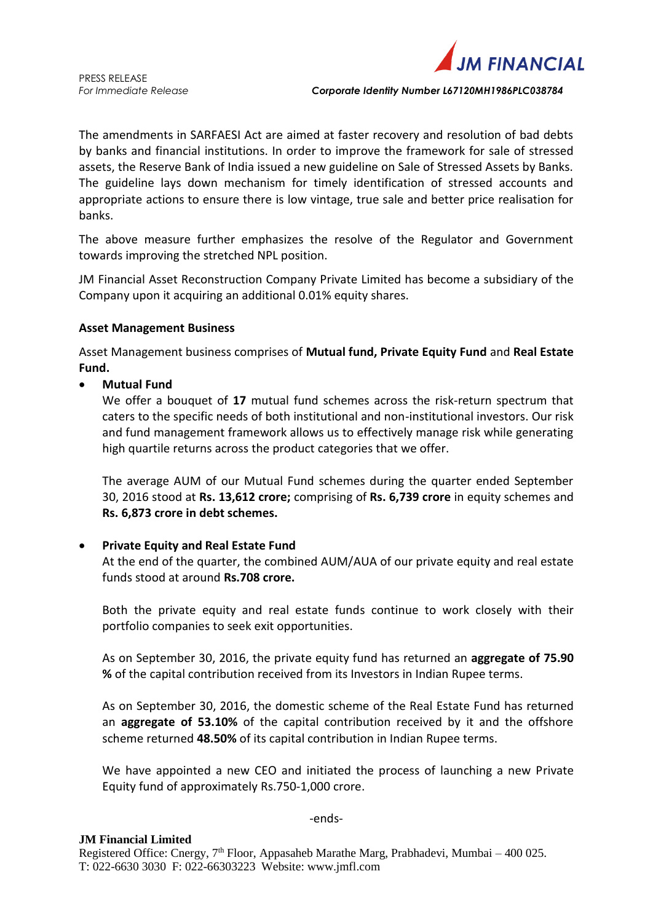

*For Immediate Release Corporate Identity Number L67120MH1986PLC038784*

The amendments in SARFAESI Act are aimed at faster recovery and resolution of bad debts by banks and financial institutions. In order to improve the framework for sale of stressed assets, the Reserve Bank of India issued a new guideline on Sale of Stressed Assets by Banks. The guideline lays down mechanism for timely identification of stressed accounts and appropriate actions to ensure there is low vintage, true sale and better price realisation for banks.

The above measure further emphasizes the resolve of the Regulator and Government towards improving the stretched NPL position.

JM Financial Asset Reconstruction Company Private Limited has become a subsidiary of the Company upon it acquiring an additional 0.01% equity shares.

## **Asset Management Business**

Asset Management business comprises of **Mutual fund, Private Equity Fund** and **Real Estate Fund.**

**Mutual Fund**

We offer a bouquet of **17** mutual fund schemes across the risk-return spectrum that caters to the specific needs of both institutional and non-institutional investors. Our risk and fund management framework allows us to effectively manage risk while generating high quartile returns across the product categories that we offer.

The average AUM of our Mutual Fund schemes during the quarter ended September 30, 2016 stood at **Rs. 13,612 crore;** comprising of **Rs. 6,739 crore** in equity schemes and **Rs. 6,873 crore in debt schemes.**

# **Private Equity and Real Estate Fund**

At the end of the quarter, the combined AUM/AUA of our private equity and real estate funds stood at around **Rs.708 crore.**

Both the private equity and real estate funds continue to work closely with their portfolio companies to seek exit opportunities.

As on September 30, 2016, the private equity fund has returned an **aggregate of 75.90 %** of the capital contribution received from its Investors in Indian Rupee terms.

As on September 30, 2016, the domestic scheme of the Real Estate Fund has returned an **aggregate of 53.10%** of the capital contribution received by it and the offshore scheme returned **48.50%** of its capital contribution in Indian Rupee terms.

We have appointed a new CEO and initiated the process of launching a new Private Equity fund of approximately Rs.750-1,000 crore.

-ends-

#### **JM Financial Limited**

Registered Office: Cnergy,  $7<sup>th</sup>$  Floor, Appasaheb Marathe Marg, Prabhadevi, Mumbai – 400 025. T: 022-6630 3030 F: 022-66303223 Website: www.jmfl.com